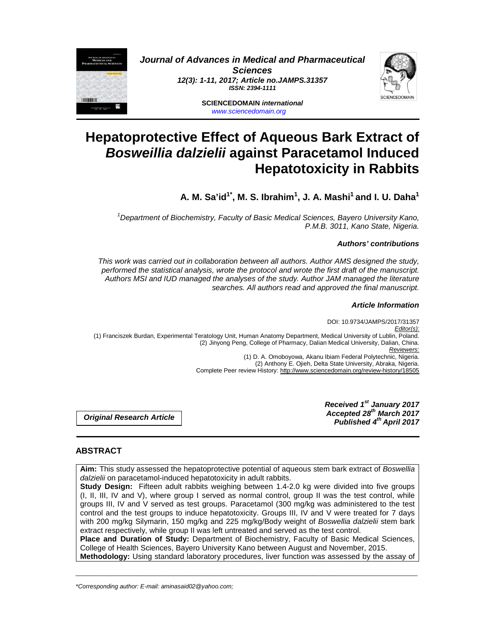

**Journal of Advances in Medical and Pharmaceutical Sciences 12(3): 1-11, 2017; Article no.JAMPS.31357 ISSN: 2394-1111** 

> **SCIENCEDOMAIN international**  www.sciencedomain.org



# **Hepatoprotective Effect of Aqueous Bark Extract of Bosweillia dalzielii against Paracetamol Induced Hepatotoxicity in Rabbits**

**A. M. Sa'id1\*, M. S. Ibrahim<sup>1</sup> , J. A. Mashi<sup>1</sup>and I. U. Daha<sup>1</sup>**

<sup>1</sup>Department of Biochemistry, Faculty of Basic Medical Sciences, Bayero University Kano, P.M.B. 3011, Kano State, Nigeria.

# **Authors' contributions**

This work was carried out in collaboration between all authors. Author AMS designed the study, performed the statistical analysis, wrote the protocol and wrote the first draft of the manuscript. Authors MSI and IUD managed the analyses of the study. Author JAM managed the literature searches. All authors read and approved the final manuscript.

## **Article Information**

DOI: 10.9734/JAMPS/2017/31357 Editor(s): (1) Franciszek Burdan, Experimental Teratology Unit, Human Anatomy Department, Medical University of Lublin, Poland. (2) Jinyong Peng, College of Pharmacy, Dalian Medical University, Dalian, China. Reviewers: (1) D. A. Omoboyowa, Akanu Ibiam Federal Polytechnic, Nigeria. (2) Anthony E. Ojieh, Delta State University, Abraka, Nigeria. Complete Peer review History: http://www.sciencedomain.org/review-history/18505

**Original Research Article** 

**Received 1st January 2017 Accepted 28th March 2017 Published 4th April 2017**

# **ABSTRACT**

**Aim:** This study assessed the hepatoprotective potential of aqueous stem bark extract of Boswellia dalzielii on paracetamol-induced hepatotoxicity in adult rabbits.

**Study Design:** Fifteen adult rabbits weighing between 1.4-2.0 kg were divided into five groups (I, II, III, IV and V), where group I served as normal control, group II was the test control, while groups III, IV and V served as test groups. Paracetamol (300 mg/kg was administered to the test control and the test groups to induce hepatotoxicity. Groups III, IV and V were treated for 7 days with 200 mg/kg Silymarin, 150 mg/kg and 225 mg/kg/Body weight of Boswellia dalzielii stem bark extract respectively, while group II was left untreated and served as the test control.

**Place and Duration of Study:** Department of Biochemistry, Faculty of Basic Medical Sciences, College of Health Sciences, Bayero University Kano between August and November, 2015.

\_\_\_\_\_\_\_\_\_\_\_\_\_\_\_\_\_\_\_\_\_\_\_\_\_\_\_\_\_\_\_\_\_\_\_\_\_\_\_\_\_\_\_\_\_\_\_\_\_\_\_\_\_\_\_\_\_\_\_\_\_\_\_\_\_\_\_\_\_\_\_\_\_\_\_\_\_\_\_\_\_\_\_\_\_\_\_\_\_\_\_\_\_\_\_\_\_\_\_\_\_ **Methodology:** Using standard laboratory procedures, liver function was assessed by the assay of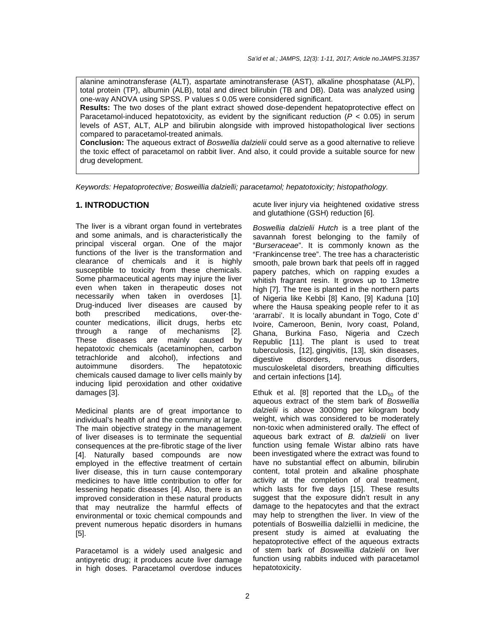alanine aminotransferase (ALT), aspartate aminotransferase (AST), alkaline phosphatase (ALP), total protein (TP), albumin (ALB), total and direct bilirubin (TB and DB). Data was analyzed using one-way ANOVA using SPSS. P values ≤ 0.05 were considered significant.

**Results:** The two doses of the plant extract showed dose-dependent hepatoprotective effect on Paracetamol-induced hepatotoxicity, as evident by the significant reduction ( $P < 0.05$ ) in serum levels of AST, ALT, ALP and bilirubin alongside with improved histopathological liver sections compared to paracetamol-treated animals.

**Conclusion:** The aqueous extract of Boswellia dalzielii could serve as a good alternative to relieve the toxic effect of paracetamol on rabbit liver. And also, it could provide a suitable source for new drug development.

Keywords: Hepatoprotective; Bosweillia dalzielli; paracetamol; hepatotoxicity; histopathology.

# **1. INTRODUCTION**

The liver is a vibrant organ found in vertebrates and some animals, and is characteristically the principal visceral organ. One of the major functions of the liver is the transformation and clearance of chemicals and it is highly susceptible to toxicity from these chemicals. Some pharmaceutical agents may injure the liver even when taken in therapeutic doses not necessarily when taken in overdoses [1]. Drug-induced liver diseases are caused by both prescribed medications, over-thecounter medications, illicit drugs, herbs etc through a range of mechanisms [2]. These diseases are mainly caused by hepatotoxic chemicals (acetaminophen, carbon tetrachloride and alcohol), infections and autoimmune disorders. The hepatotoxic chemicals caused damage to liver cells mainly by inducing lipid peroxidation and other oxidative damages [3].

Medicinal plants are of great importance to individual's health of and the community at large. The main objective strategy in the management of liver diseases is to terminate the sequential consequences at the pre-fibrotic stage of the liver [4]. Naturally based compounds are now employed in the effective treatment of certain liver disease, this in turn cause contemporary medicines to have little contribution to offer for lessening hepatic diseases [4]. Also, there is an improved consideration in these natural products that may neutralize the harmful effects of environmental or toxic chemical compounds and prevent numerous hepatic disorders in humans [5].

Paracetamol is a widely used analgesic and antipyretic drug; it produces acute liver damage in high doses. Paracetamol overdose induces acute liver injury via heightened oxidative stress and glutathione (GSH) reduction [6].

Boswellia dalzielii Hutch is a tree plant of the savannah forest belonging to the family of "Burseraceae". It is commonly known as the "Frankincense tree". The tree has a characteristic smooth, pale brown bark that peels off in ragged papery patches, which on rapping exudes a whitish fragrant resin. It grows up to 13metre high [7]. The tree is planted in the northern parts of Nigeria like Kebbi [8] Kano, [9] Kaduna [10] where the Hausa speaking people refer to it as 'ararrabi'. It is locally abundant in Togo, Cote d' Ivoire, Cameroon, Benin, Ivory coast, Poland, Ghana, Burkina Faso, Nigeria and Czech Republic [11]. The plant is used to treat tuberculosis, [12], gingivitis, [13], skin diseases, disorders. musculoskeletal disorders, breathing difficulties and certain infections [14].

Ethuk et al. [8] reported that the  $LD_{50}$  of the aqueous extract of the stem bark of Boswellia dalzielii is above 3000mg per kilogram body weight, which was considered to be moderately non-toxic when administered orally. The effect of aqueous bark extract of B. dalzielii on liver function using female Wistar albino rats have been investigated where the extract was found to have no substantial effect on albumin, bilirubin content, total protein and alkaline phosphate activity at the completion of oral treatment, which lasts for five days [15]. These results suggest that the exposure didn't result in any damage to the hepatocytes and that the extract may help to strengthen the liver. In view of the potentials of Bosweillia dalziellii in medicine, the present study is aimed at evaluating the hepatoprotective effect of the aqueous extracts of stem bark of Bosweillia dalzielii on liver function using rabbits induced with paracetamol hepatotoxicity.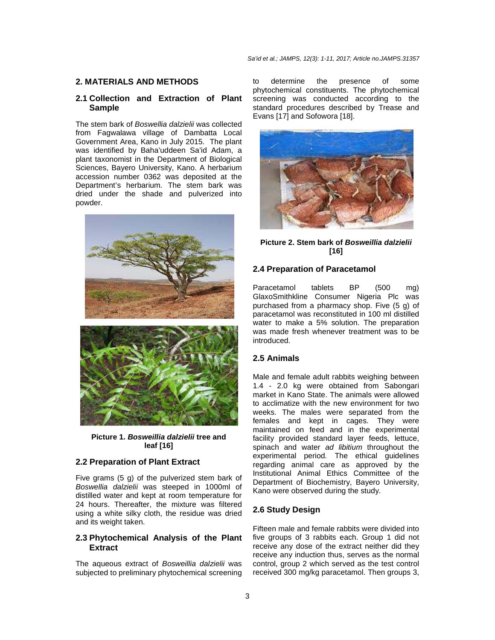# **2. MATERIALS AND METHODS**

# **2.1 Collection and Extraction of Plant Sample**

The stem bark of Boswellia dalzielii was collected from Fagwalawa village of Dambatta Local Government Area, Kano in July 2015. The plant was identified by Baha'uddeen Sa'id Adam, a plant taxonomist in the Department of Biological Sciences, Bayero University, Kano. A herbarium accession number 0362 was deposited at the Department's herbarium. The stem bark was dried under the shade and pulverized into powder.



**Picture 1. Bosweillia dalzielii tree and leaf [16]** 

# **2.2 Preparation of Plant Extract**

Five grams (5 g) of the pulverized stem bark of Boswellia dalzielii was steeped in 1000ml of distilled water and kept at room temperature for 24 hours. Thereafter, the mixture was filtered using a white silky cloth, the residue was dried and its weight taken.

## **2.3 Phytochemical Analysis of the Plant Extract**

The aqueous extract of Bosweillia dalzielii was subjected to preliminary phytochemical screening to determine the presence of some phytochemical constituents. The phytochemical screening was conducted according to the standard procedures described by Trease and Evans [17] and Sofowora [18].



# **Picture 2. Stem bark of Bosweillia dalzielii [16]**

## **2.4 Preparation of Paracetamol**

Paracetamol tablets BP (500 mg) GlaxoSmithkline Consumer Nigeria Plc was purchased from a pharmacy shop. Five (5 g) of paracetamol was reconstituted in 100 ml distilled water to make a 5% solution. The preparation was made fresh whenever treatment was to be introduced.

## **2.5 Animals**

Male and female adult rabbits weighing between 1.4 - 2.0 kg were obtained from Sabongari market in Kano State. The animals were allowed to acclimatize with the new environment for two weeks. The males were separated from the females and kept in cages. They were maintained on feed and in the experimental facility provided standard layer feeds, lettuce, spinach and water ad libitium throughout the experimental period. The ethical guidelines regarding animal care as approved by the Institutional Animal Ethics Committee of the Department of Biochemistry, Bayero University, Kano were observed during the study.

#### **2.6 Study Design**

Fifteen male and female rabbits were divided into five groups of 3 rabbits each. Group 1 did not receive any dose of the extract neither did they receive any induction thus, serves as the normal control, group 2 which served as the test control received 300 mg/kg paracetamol. Then groups 3,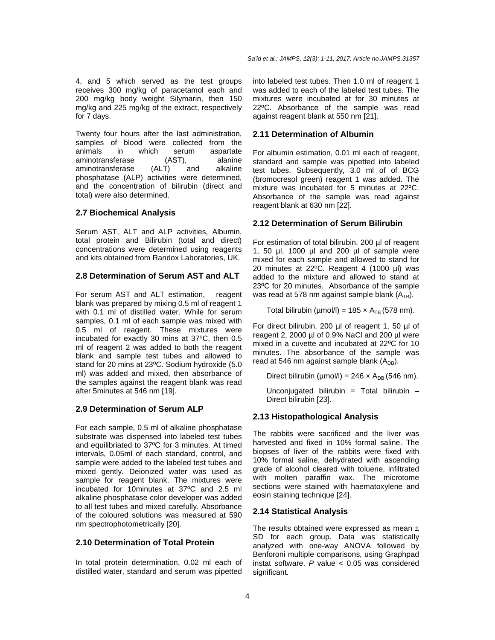4, and 5 which served as the test groups receives 300 mg/kg of paracetamol each and 200 mg/kg body weight Silymarin, then 150 mg/kg and 225 mg/kg of the extract, respectively for 7 days.

Twenty four hours after the last administration, samples of blood were collected from the animals in which serum aspartate aminotransferase (AST), alanine aminotransferase (ALT) and alkaline phosphatase (ALP) activities were determined, and the concentration of bilirubin (direct and total) were also determined.

# **2.7 Biochemical Analysis**

Serum AST, ALT and ALP activities, Albumin, total protein and Bilirubin (total and direct) concentrations were determined using reagents and kits obtained from Randox Laboratories, UK.

# **2.8 Determination of Serum AST and ALT**

For serum AST and ALT estimation, reagent blank was prepared by mixing 0.5 ml of reagent 1 with 0.1 ml of distilled water. While for serum samples, 0.1 ml of each sample was mixed with 0.5 ml of reagent. These mixtures were incubated for exactly 30 mins at 37ºC, then 0.5 ml of reagent 2 was added to both the reagent blank and sample test tubes and allowed to stand for 20 mins at 23ºC. Sodium hydroxide (5.0 ml) was added and mixed, then absorbance of the samples against the reagent blank was read after 5minutes at 546 nm [19].

# **2.9 Determination of Serum ALP**

For each sample, 0.5 ml of alkaline phosphatase substrate was dispensed into labeled test tubes and equilibriated to 37ºC for 3 minutes. At timed intervals, 0.05ml of each standard, control, and sample were added to the labeled test tubes and mixed gently. Deionized water was used as sample for reagent blank. The mixtures were incubated for 10minutes at 37ºC and 2.5 ml alkaline phosphatase color developer was added to all test tubes and mixed carefully. Absorbance of the coloured solutions was measured at 590 nm spectrophotometrically [20].

# **2.10 Determination of Total Protein**

In total protein determination, 0.02 ml each of distilled water, standard and serum was pipetted into labeled test tubes. Then 1.0 ml of reagent 1 was added to each of the labeled test tubes. The mixtures were incubated at for 30 minutes at 22ºC. Absorbance of the sample was read against reagent blank at 550 nm [21].

# **2.11 Determination of Albumin**

For albumin estimation, 0.01 ml each of reagent, standard and sample was pipetted into labeled test tubes. Subsequently, 3.0 ml of of BCG (bromocresol green) reagent 1 was added. The mixture was incubated for 5 minutes at 22ºC. Absorbance of the sample was read against reagent blank at 630 nm [22].

# **2.12 Determination of Serum Bilirubin**

For estimation of total bilirubin, 200 µl of reagent 1, 50 µl, 1000 µl and 200 µl of sample were mixed for each sample and allowed to stand for 20 minutes at 22ºC. Reagent 4 (1000 µl) was added to the mixture and allowed to stand at 23ºC for 20 minutes. Absorbance of the sample was read at 578 nm against sample blank  $(A_{TB})$ .

Total bilirubin (µmol/l) = 185  $\times$  A<sub>TB</sub> (578 nm).

For direct bilirubin, 200 µl of reagent 1, 50 µl of reagent 2, 2000 µl of 0.9% NaCl and 200 µl were mixed in a cuvette and incubated at 22ºC for 10 minutes. The absorbance of the sample was read at 546 nm against sample blank  $(A_{DR})$ .

Direct bilirubin ( $\mu$ mol/l) = 246 × A<sub>DB</sub> (546 nm).

Unconjugated bilirubin = Total bilirubin  $-$ Direct bilirubin [23].

## **2.13 Histopathological Analysis**

The rabbits were sacrificed and the liver was harvested and fixed in 10% formal saline. The biopses of liver of the rabbits were fixed with 10% formal saline, dehydrated with ascending grade of alcohol cleared with toluene, infiltrated with molten paraffin wax. The microtome sections were stained with haematoxylene and eosin staining technique [24].

## **2.14 Statistical Analysis**

The results obtained were expressed as mean  $\pm$ SD for each group. Data was statistically analyzed with one-way ANOVA followed by Benforoni multiple comparisons, using Graphpad instat software.  $P$  value  $<$  0.05 was considered significant.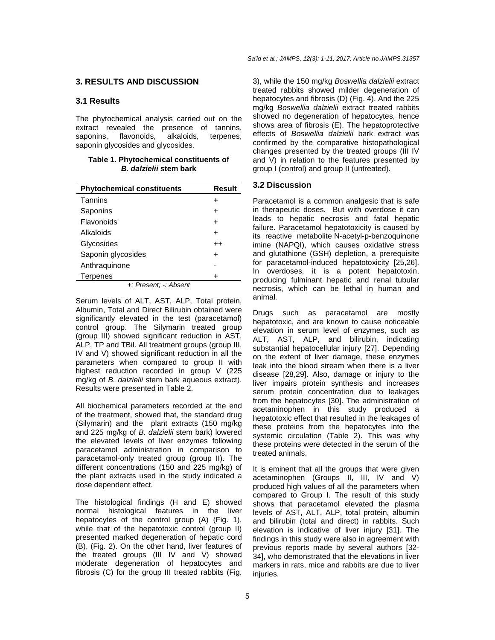# **3. RESULTS AND DISCUSSION**

# **3.1 Results**

The phytochemical analysis carried out on the extract revealed the presence of tannins, saponins, flavonoids, alkaloids, terpenes, saponin glycosides and glycosides.

**Table 1. Phytochemical constituents of B. dalzielii stem bark** 

| <b>Phytochemical constituents</b> | Result  |  |  |  |
|-----------------------------------|---------|--|--|--|
| Tannins                           | +       |  |  |  |
| Saponins                          | +       |  |  |  |
| Flavonoids                        | +       |  |  |  |
| Alkaloids                         | +       |  |  |  |
| Glycosides                        | $^{++}$ |  |  |  |
| Saponin glycosides                | $\div$  |  |  |  |
| Anthraquinone                     |         |  |  |  |
| Terpenes                          |         |  |  |  |
| +: Present: -: Absent             |         |  |  |  |

Serum levels of ALT, AST, ALP, Total protein, Albumin, Total and Direct Bilirubin obtained were significantly elevated in the test (paracetamol) control group. The Silymarin treated group (group III) showed significant reduction in AST, ALP, TP and TBil. All treatment groups (group III, IV and V) showed significant reduction in all the parameters when compared to group II with highest reduction recorded in group V (225 mg/kg of B, dalzielij stem bark aqueous extract). Results were presented in Table 2.

All biochemical parameters recorded at the end of the treatment, showed that, the standard drug (Silymarin) and the plant extracts (150 mg/kg and 225 mg/kg of B. dalzielii stem bark) lowered the elevated levels of liver enzymes following paracetamol administration in comparison to paracetamol-only treated group (group II). The different concentrations (150 and 225 mg/kg) of the plant extracts used in the study indicated a dose dependent effect.

The histological findings (H and E) showed normal histological features in the liver hepatocytes of the control group (A) (Fig. 1), while that of the hepatotoxic control (group II) presented marked degeneration of hepatic cord (B), (Fig. 2). On the other hand, liver features of the treated groups (III IV and V) showed moderate degeneration of hepatocytes and fibrosis (C) for the group III treated rabbits (Fig.

3), while the 150 mg/kg Boswellia dalzielii extract treated rabbits showed milder degeneration of hepatocytes and fibrosis (D) (Fig. 4). And the 225 mg/kg Boswellia dalzielii extract treated rabbits showed no degeneration of hepatocytes, hence shows area of fibrosis (E). The hepatoprotective effects of Boswellia dalzielii bark extract was confirmed by the comparative histopathological changes presented by the treated groups (III IV and V) in relation to the features presented by group I (control) and group II (untreated).

## **3.2 Discussion**

Paracetamol is a common analgesic that is safe in therapeutic doses. But with overdose it can leads to hepatic necrosis and fatal hepatic failure. Paracetamol hepatotoxicity is caused by its reactive metabolite N-acetyl-p-benzoquinone imine (NAPQI), which causes oxidative stress and glutathione (GSH) depletion, a prerequisite for paracetamol-induced hepatotoxicity [25,26]. In overdoses, it is a potent hepatotoxin, producing fulminant hepatic and renal tubular necrosis, which can be lethal in human and animal.

Drugs such as paracetamol are mostly hepatotoxic, and are known to cause noticeable elevation in serum level of enzymes, such as ALT, AST, ALP, and bilirubin, indicating substantial hepatocellular injury [27]. Depending on the extent of liver damage, these enzymes leak into the blood stream when there is a liver disease [28,29]. Also, damage or injury to the liver impairs protein synthesis and increases serum protein concentration due to leakages from the hepatocytes [30]. The administration of acetaminophen in this study produced a hepatotoxic effect that resulted in the leakages of these proteins from the hepatocytes into the systemic circulation (Table 2). This was why these proteins were detected in the serum of the treated animals.

It is eminent that all the groups that were given acetaminophen (Groups II, III, IV and V) produced high values of all the parameters when compared to Group I. The result of this study shows that paracetamol elevated the plasma levels of AST, ALT, ALP, total protein, albumin and bilirubin (total and direct) in rabbits. Such elevation is indicative of liver injury [31]. The findings in this study were also in agreement with previous reports made by several authors [32- 34], who demonstrated that the elevations in liver markers in rats, mice and rabbits are due to liver injuries.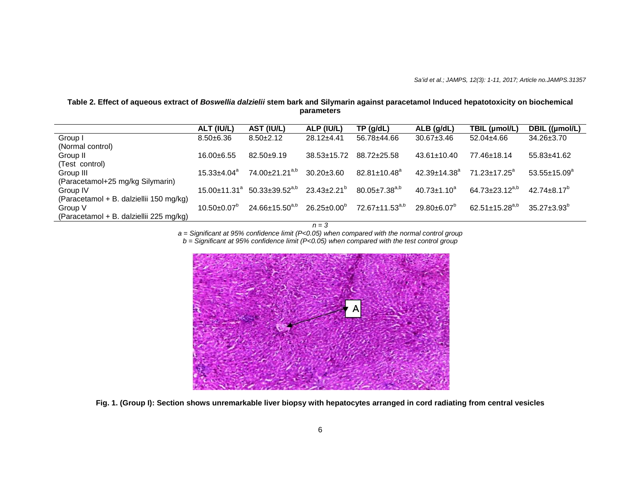## **Table 2. Effect of aqueous extract of Boswellia dalzielii stem bark and Silymarin against paracetamol Induced hepatotoxicity on biochemical parameters**

|                                         | ALT (IU/L)                     | AST (IU/L)                 | ALP (IU/L)               | TP(q/dL)                       | $ALB$ (g/dL)                   | TBIL (µmol/L)                    | DBIL ((µmol/L)         |
|-----------------------------------------|--------------------------------|----------------------------|--------------------------|--------------------------------|--------------------------------|----------------------------------|------------------------|
| Group I                                 | $8.50 + 6.36$                  | $8.50 \pm 2.12$            | $28.12 \pm 4.41$         | 56.78±44.66                    | $30.67 \pm 3.46$               | $52.04 \pm 4.66$                 | $34.26 \pm 3.70$       |
| (Normal control)                        |                                |                            |                          |                                |                                |                                  |                        |
| Group II                                | $16.00\pm 6.55$                | $82.50+9.19$               | $38.53 \pm 15.72$        | 88.72±25.58                    | $43.61 \pm 10.40$              | 77.46±18.14                      | $55.83 \pm 41.62$      |
| (Test control)                          |                                |                            |                          |                                |                                |                                  |                        |
| Group III                               | $15.33 + 4.04^a$               | 74.00±21.21 <sup>a,b</sup> | $30.20 \pm 3.60$         | $82.81 \pm 10.48$ <sup>a</sup> | $42.39 \pm 14.38$ <sup>a</sup> | $71.23 + 17.25^a$                | $53.55 \pm 15.09^a$    |
| (Paracetamol+25 mg/kg Silymarin)        |                                |                            |                          |                                |                                |                                  |                        |
| Group IV                                | $15.00 \pm 11.31$ <sup>a</sup> | $50.33 \pm 39.52^{a,b}$    | $23.43 \pm 2.21^{\circ}$ | $80.05 \pm 7.38^{a,b}$         | $40.73 \pm 1.10^a$             | 64.73 $\pm$ 23.12 <sup>a,b</sup> | $42.74 + 8.17^{\circ}$ |
| (Paracetamol + B. dalziellii 150 mg/kg) |                                |                            |                          |                                |                                |                                  |                        |
| Group V                                 | $10.50 \pm 0.07$ <sup>p</sup>  | $24.66 \pm 15.50^{a,b}$    | $26.25 \pm 0.00^{\circ}$ | $72.67 \pm 11.53^{a,b}$        | $29.80 + 6.07$ <sup>b</sup>    | 62.51±15.28 <sup>a,b</sup>       | $35.27 + 3.93^{\circ}$ |
| (Paracetamol + B. dalziellii 225 mg/kg) |                                |                            |                          |                                |                                |                                  |                        |

 $n = 3$ 

a = Significant at 95% confidence limit (P<0.05) when compared with the normal control group b = Significant at 95% confidence limit (P<0.05) when compared with the test control group



**Fig. 1. (Group I): Section shows unremarkable liver biopsy with hepatocytes arranged in cord radiating from central vesicles**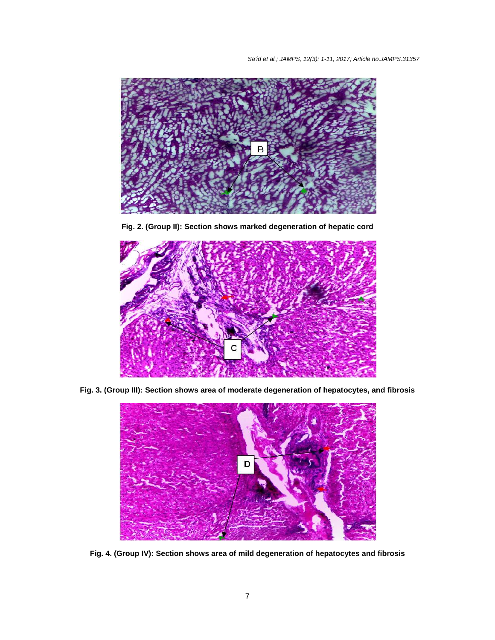

**Fig. 2. (Group II): Section shows marked degeneration of hepatic cord** 



**Fig. 3. (Group III): Section shows area of moderate degeneration of hepatocytes, and fibrosis** 



**Fig. 4. (Group IV): Section shows area of mild degeneration of hepatocytes and fibrosis**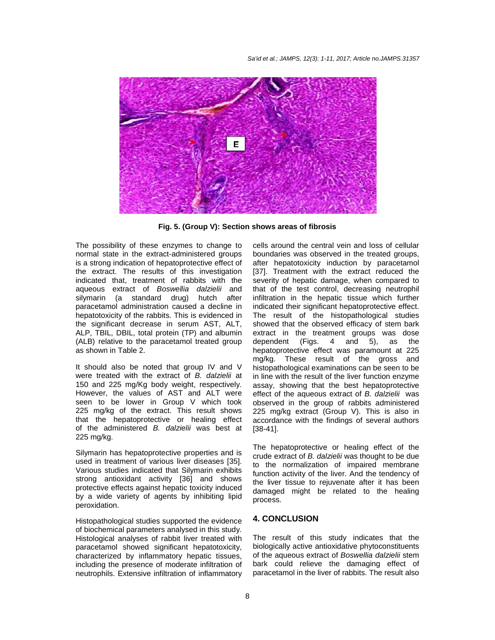

**Fig. 5. (Group V): Section shows areas of fibrosis** 

The possibility of these enzymes to change to normal state in the extract-administered groups is a strong indication of hepatoprotective effect of the extract. The results of this investigation indicated that, treatment of rabbits with the aqueous extract of Boswellia dalzielii and silymarin (a standard drug) hutch after paracetamol administration caused a decline in hepatotoxicity of the rabbits. This is evidenced in the significant decrease in serum AST, ALT, ALP, TBIL, DBIL, total protein (TP) and albumin (ALB) relative to the paracetamol treated group as shown in Table 2.

It should also be noted that group IV and V were treated with the extract of B. dalzielii at 150 and 225 mg/Kg body weight, respectively. However, the values of AST and ALT were seen to be lower in Group V which took 225 mg/kg of the extract. This result shows that the hepatoprotective or healing effect of the administered B. dalzielii was best at 225 mg/kg.

Silymarin has hepatoprotective properties and is used in treatment of various liver diseases [35]. Various studies indicated that Silymarin exhibits strong antioxidant activity [36] and shows protective effects against hepatic toxicity induced by a wide variety of agents by inhibiting lipid peroxidation.

Histopathological studies supported the evidence of biochemical parameters analysed in this study. Histological analyses of rabbit liver treated with paracetamol showed significant hepatotoxicity, characterized by inflammatory hepatic tissues, including the presence of moderate infiltration of neutrophils. Extensive infiltration of inflammatory

cells around the central vein and loss of cellular boundaries was observed in the treated groups, after hepatotoxicity induction by paracetamol [37]. Treatment with the extract reduced the severity of hepatic damage, when compared to that of the test control, decreasing neutrophil infiltration in the hepatic tissue which further indicated their significant hepatoprotective effect. The result of the histopathological studies showed that the observed efficacy of stem bark extract in the treatment groups was dose dependent (Figs. 4 and 5), as the hepatoprotective effect was paramount at 225 mg/kg. These result of the gross and histopathological examinations can be seen to be in line with the result of the liver function enzyme assay, showing that the best hepatoprotective effect of the aqueous extract of B. dalzielii was observed in the group of rabbits administered 225 mg/kg extract (Group V). This is also in accordance with the findings of several authors [38-41].

The hepatoprotective or healing effect of the crude extract of B. dalzielii was thought to be due to the normalization of impaired membrane function activity of the liver. And the tendency of the liver tissue to rejuvenate after it has been damaged might be related to the healing process.

#### **4. CONCLUSION**

The result of this study indicates that the biologically active antioxidative phytoconstituents of the aqueous extract of Boswellia dalzielii stem bark could relieve the damaging effect of paracetamol in the liver of rabbits. The result also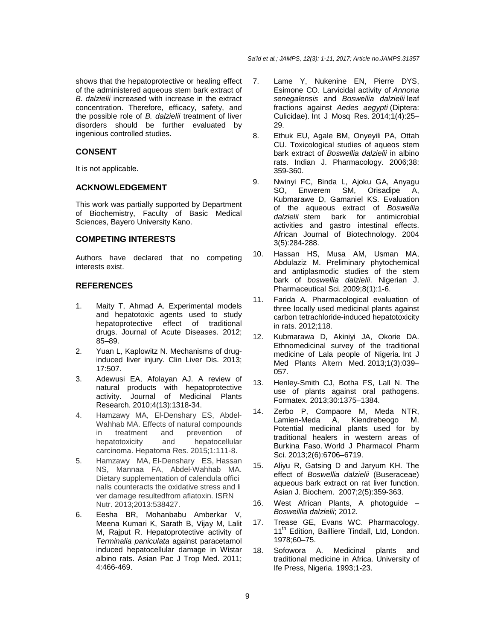shows that the hepatoprotective or healing effect of the administered aqueous stem bark extract of B. dalzielii increased with increase in the extract concentration. Therefore, efficacy, safety, and the possible role of B. dalzielii treatment of liver disorders should be further evaluated by ingenious controlled studies.

# **CONSENT**

It is not applicable.

## **ACKNOWLEDGEMENT**

This work was partially supported by Department of Biochemistry, Faculty of Basic Medical Sciences, Bayero University Kano.

## **COMPETING INTERESTS**

Authors have declared that no competing interests exist.

# **REFERENCES**

- 1. Maity T, Ahmad A. Experimental models and hepatotoxic agents used to study hepatoprotective effect of traditional drugs. Journal of Acute Diseases. 2012; 85–89.
- 2. Yuan L, Kaplowitz N. Mechanisms of druginduced liver injury. Clin Liver Dis. 2013; 17:507.
- 3. Adewusi EA, Afolayan AJ. A review of natural products with hepatoprotective activity. Journal of Medicinal Plants Research. 2010;4(13):1318-34.
- 4. Hamzawy MA, El-Denshary ES, Abdel-Wahhab MA. Effects of natural compounds in treatment and prevention of hepatotoxicity and hepatocellular carcinoma. Hepatoma Res. 2015;1:111-8.
- 5. Hamzawy MA, El-Denshary ES, Hassan NS, Mannaa FA, Abdel-Wahhab MA. Dietary supplementation of calendula offici nalis counteracts the oxidative stress and li ver damage resultedfrom aflatoxin. ISRN Nutr. 2013;2013:538427.
- 6. Eesha BR, Mohanbabu Amberkar V, Meena Kumari K, Sarath B, Vijay M, Lalit M, Rajput R. Hepatoprotective activity of Terminalia paniculata against paracetamol induced hepatocellular damage in Wistar albino rats. Asian Pac J Trop Med. 2011; 4:466-469.
- 7. Lame Y, Nukenine EN, Pierre DYS, Esimone CO. Larvicidal activity of Annona senegalensis and Boswellia dalzielii leaf fractions against Aedes aegypti (Diptera: Culicidae). Int J Mosq Res. 2014;1(4):25– 29.
- 8. Ethuk EU, Agale BM, Onyeyili PA, Ottah CU. Toxicological studies of aqueos stem bark extract of Boswellia dalzielii in albino rats. Indian J. Pharmacology. 2006;38: 359-360.
- 9. Nwinyi FC, Binda L, Ajoku GA, Anyagu SO, Enwerem SM, Orisadipe A, Kubmarawe D, Gamaniel KS. Evaluation of the aqueous extract of Boswellia dalzielii stem bark for antimicrobial activities and gastro intestinal effects. African Journal of Biotechnology. 2004 3(5):284-288.
- 10. Hassan HS, Musa AM, Usman MA, Abdulaziz M. Preliminary phytochemical and antiplasmodic studies of the stem bark of boswellia dalzielii. Nigerian J. Pharmaceutical Sci. 2009;8(1):1-6.
- 11. Farida A. Pharmacological evaluation of three locally used medicinal plants against carbon tetrachloride-induced hepatotoxicity in rats. 2012;118.
- 12. Kubmarawa D, Akiniyi JA, Okorie DA. Ethnomedicinal survey of the traditional medicine of Lala people of Nigeria. Int J Med Plants Altern Med. 2013;1(3):039– 057.
- 13. Henley-Smith CJ, Botha FS, Lall N. The use of plants against oral pathogens. Formatex. 2013;30:1375–1384.
- 14. Zerbo P, Compaore M, Meda NTR, Lamien-Meda A, Kiendrebeogo M. Potential medicinal plants used for by traditional healers in western areas of Burkina Faso. World J Pharmacol Pharm Sci. 2013;2(6):6706–6719.
- 15. Aliyu R, Gatsing D and Jaryum KH. The effect of Boswellia dalzielii (Buseraceae) aqueous bark extract on rat liver function. Asian J. Biochem. 2007;2(5):359-363.
- 16. West African Plants, A photoguide Bosweillia dalzielii; 2012.
- 17. Trease GE, Evans WC. Pharmacology. 11<sup>th</sup> Edition, Bailliere Tindall, Ltd, London. 1978;60–75.
- 18. Sofowora A. Medicinal plants and traditional medicine in Africa. University of Ife Press, Nigeria. 1993;1-23.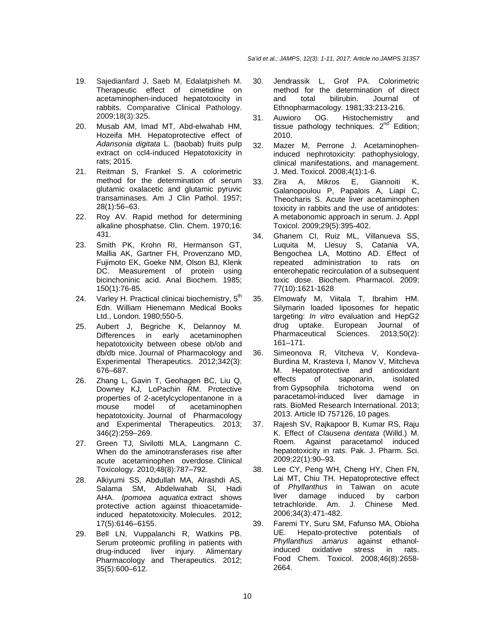- 19. Sajedianfard J, Saeb M, Edalatpisheh M. Therapeutic effect of cimetidine on acetaminophen-induced hepatotoxicity in rabbits. Comparative Clinical Pathology. 2009;18(3):325.
- 20. Musab AM, Imad MT, Abd-elwahab HM, Hozeifa MH. Hepatoprotective effect of Adansonia digitata L. (baobab) fruits pulp extract on ccl4-induced Hepatotoxicity in rats; 2015.
- 21. Reitman S, Frankel S. A colorimetric method for the determination of serum glutamic oxalacetic and glutamic pyruvic transaminases. Am J Clin Pathol. 1957; 28(1):56–63.
- 22. Roy AV. Rapid method for determining alkaline phosphatse. Clin. Chem. 1970;16: 431.
- 23. Smith PK, Krohn RI, Hermanson GT, Mallia AK, Gartner FH, Provenzano MD, Fujimoto EK, Goeke NM, Olson BJ, Klenk DC. Measurement of protein using bicinchoninic acid. Anal Biochem. 1985; 150(1):76-85.
- 24. Varley H. Practical clinicai biochemistry. 5<sup>th</sup> Edn. William Hienemann Medical Books Ltd., London. 1980;550-5.
- 25. Aubert J, Begriche K, Delannoy M. Differences in early acetaminophen hepatotoxicity between obese ob/ob and db/db mice. Journal of Pharmacology and Experimental Therapeutics. 2012;342(3): 676–687.
- 26. Zhang L, Gavin T, Geohagen BC, Liu Q, Downey KJ, LoPachin RM. Protective properties of 2-acetylcyclopentanone in a mouse model of acetaminophen hepatotoxicity. Journal of Pharmacology and Experimental Therapeutics. 2013; 346(2):259–269.
- 27. Green TJ, Sivilotti MLA, Langmann C. When do the aminotransferases rise after acute acetaminophen overdose. Clinical Toxicology. 2010;48(8):787–792.
- 28. Alkiyumi SS, Abdullah MA, Alrashdi AS, Salama SM, Abdelwahab SI, Hadi AHA. Ipomoea aquatica extract shows protective action against thioacetamideinduced hepatotoxicity. Molecules. 2012; 17(5):6146–6155.
- 29. Bell LN, Vuppalanchi R, Watkins PB. Serum proteomic profiling in patients with drug-induced liver injury. Alimentary Pharmacology and Therapeutics. 2012; 35(5):600–612.
- 30. Jendrassik L, Grof PA. Colorimetric method for the determination of direct and total bilirubin. Journal of Ethnopharmacology. 1981;33:213-216.
- 31. Auwioro OG. Histochemistry and tissue pathology techniques.  $2^{nd}$  Edition; 2010.
- 32. Mazer M, Perrone J. Acetaminopheninduced nephrotoxicity: pathophysiology, clinical manifestations, and management. J. Med. Toxicol. 2008;4(1):1-6.
- 33. Zira A, Mikros E, Giannoiti K, Galanopoulou P, Papalois A, Liapi C, Theocharis S. Acute liver acetaminophen toxicity in rabbits and the use of antidotes: A metabonomic approach in serum. J. Appl Toxicol. 2009;29(5):395-402.
- 34. Ghanem CI, Ruiz ML, Villanueva SS, Luquita M, Llesuy S, Catania VA, Bengochea LA, Mottino AD. Effect of repeated administration to rats on enterohepatic recirculation of a subsequent toxic dose. Biochem. Pharmacol. 2009; 77(10):1621-1628
- 35. Elmowafy M, Viitala T, Ibrahim HM. Silymarin loaded liposomes for hepatic targeting: *In vitro* evaluation and HepG2 drug uptake. European Journal of Pharmaceutical Sciences. 2013;50(2): 161–171.
- 36. Simeonova R, Vitcheva V, Kondeva-Burdina M, Krasteva I, Manov V, Mitcheva M. Hepatoprotective and antioxidant effects of saponarin, isolated from Gypsophila trichotoma wend on paracetamol-induced liver damage in rats. BioMed Research International. 2013; 2013. Article ID 757126, 10 pages.
- 37. Rajesh SV, Rajkapoor B, Kumar RS, Raju K. Effect of Clausena dentata (Willd.) M. Roem. Against paracetamol induced hepatotoxicity in rats. Pak. J. Pharm. Sci. 2009;22(1):90–93.
- 38. Lee CY, Peng WH, Cheng HY, Chen FN, Lai MT, Chiu TH. Hepatoprotective effect of Phyllanthus in Taiwan on acute liver damage induced by carbon tetrachloride. Am. J. Chinese Med. 2006;34(3):471-482.
- 39. Faremi TY, Suru SM, Fafunso MA, Obioha UE. Hepato-protective potentials of Phyllanthus amarus against ethanolinduced oxidative stress in rats. Food Chem. Toxicol. 2008;46(8):2658- 2664.